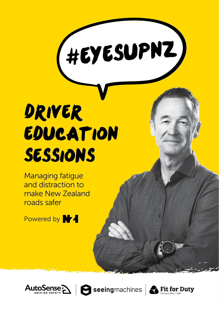

# Driver Education Sessions

Managing fatigue and distraction to make New Zealand roads safer

Powered by **VA** 





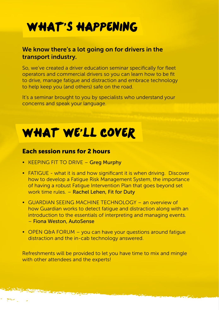# WHAT'S HAPPENING

#### We know there's a lot going on for drivers in the transport industry.

So, we've created a driver education seminar specifically for fleet operators and commercial drivers so you can learn how to be fit to drive, manage fatigue and distraction and embrace technology to help keep you (and others) safe on the road.

It's a seminar brought to you by specialists who understand your concerns and speak your language.

# WHAT WE'LL COVER

#### Each session runs for 2 hours

- KEEPING FIT TO DRIVE Greg Murphy
- FATIGUE what it is and how significant it is when driving. Discover how to develop a Fatigue Risk Management System, the importance of having a robust Fatigue Intervention Plan that goes beyond set work time rules. – Rachel Lehen, Fit for Duty
- GUARDIAN SEEING MACHINE TECHNOLOGY an overview of how Guardian works to detect fatigue and distraction along with an introduction to the essentials of interpreting and managing events. – Fiona Weston, AutoSense
- OPEN Q&A FORUM you can have your questions around fatique distraction and the in-cab technology answered.

Refreshments will be provided to let you have time to mix and mingle with other attendees and the experts!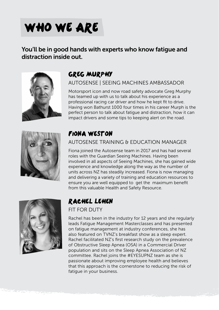# WHO WE ARE

### You'll be in good hands with experts who know fatigue and distraction inside out.



## Greg MurphY

AUTOSENSE | SEEING MACHINES AMBASSADOR

Motorsport icon and now road safety advocate Greg Murphy has teamed up with us to talk about his experience as a professional racing car driver and how he kept fit to drive. Having won Bathurst 1000 four times in his career Murph is the perfect person to talk about fatigue and distraction, how it can impact drivers and some tips to keeping alert on the road.



### Fiona Weston

#### AUTOSENSE TRAINING & EDUCATION MANAGER

Fiona joined the Autosense team in 2017 and has had several roles with the Guardian Seeing Machines. Having been involved in all aspects of Seeing Machines, she has gained wide experience and knowledge along the way as the number of units across NZ has steadily increased. Fiona is now managing and delivering a variety of training and education resources to ensure you are well equipped to get the maximum benefit from this valuable Health and Safety Resource.



# Rachel Lehen

#### FIT FOR DUTY

Rachel has been in the industry for 12 years and she regularly leads Fatigue Management Masterclasses and has presented on fatigue management at industry conferences, she has also featured on TVNZ's breakfast show as a sleep expert. Rachel facilitated NZ's first research study on the prevalence of Obstructive Sleep Apnea (OSA) in a Commercial Driver population and sits on the Sleep Apnea Association of NZ committee. Rachel joins the #EYESUPNZ team as she is passionate about improving employee health and believes that this approach is the cornerstone to reducing the risk of fatigue in your business.